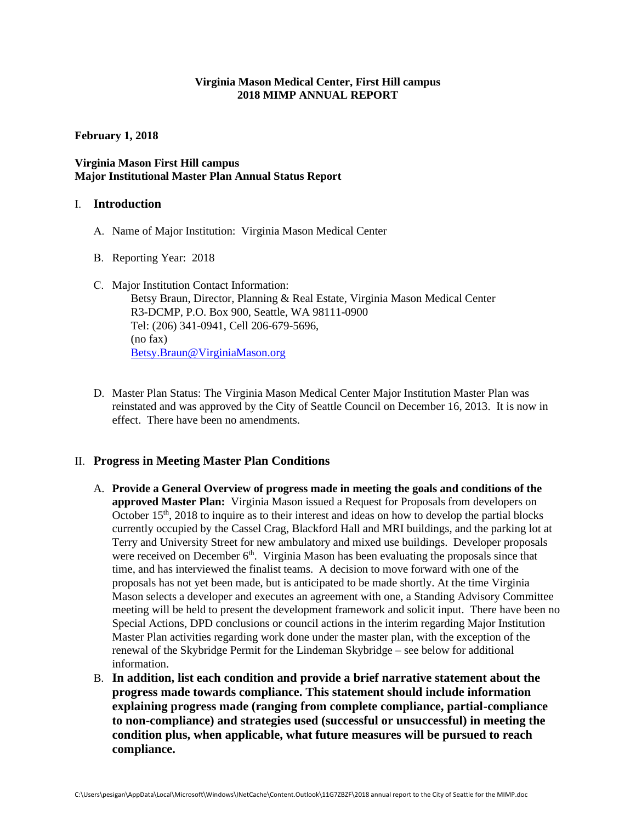## **Virginia Mason Medical Center, First Hill campus 2018 MIMP ANNUAL REPORT**

### **February 1, 2018**

## **Virginia Mason First Hill campus Major Institutional Master Plan Annual Status Report**

### I. **Introduction**

- A. Name of Major Institution: Virginia Mason Medical Center
- B. Reporting Year: 2018
- C. Major Institution Contact Information: Betsy Braun, Director, Planning & Real Estate, Virginia Mason Medical Center R3-DCMP, P.O. Box 900, Seattle, WA 98111-0900 Tel: (206) 341-0941, Cell 206-679-5696, (no fax) [Betsy.Braun@VirginiaMason.org](mailto:Betsy.Braun@VirginiaMason.org)
- D. Master Plan Status: The Virginia Mason Medical Center Major Institution Master Plan was reinstated and was approved by the City of Seattle Council on December 16, 2013. It is now in effect. There have been no amendments.

## II. **Progress in Meeting Master Plan Conditions**

- A. **Provide a General Overview of progress made in meeting the goals and conditions of the approved Master Plan:** Virginia Mason issued a Request for Proposals from developers on October  $15<sup>th</sup>$ , 2018 to inquire as to their interest and ideas on how to develop the partial blocks currently occupied by the Cassel Crag, Blackford Hall and MRI buildings, and the parking lot at Terry and University Street for new ambulatory and mixed use buildings. Developer proposals were received on December  $6<sup>th</sup>$ . Virginia Mason has been evaluating the proposals since that time, and has interviewed the finalist teams. A decision to move forward with one of the proposals has not yet been made, but is anticipated to be made shortly. At the time Virginia Mason selects a developer and executes an agreement with one, a Standing Advisory Committee meeting will be held to present the development framework and solicit input. There have been no Special Actions, DPD conclusions or council actions in the interim regarding Major Institution Master Plan activities regarding work done under the master plan, with the exception of the renewal of the Skybridge Permit for the Lindeman Skybridge – see below for additional information.
- B. **In addition, list each condition and provide a brief narrative statement about the progress made towards compliance. This statement should include information explaining progress made (ranging from complete compliance, partial-compliance to non-compliance) and strategies used (successful or unsuccessful) in meeting the condition plus, when applicable, what future measures will be pursued to reach compliance.**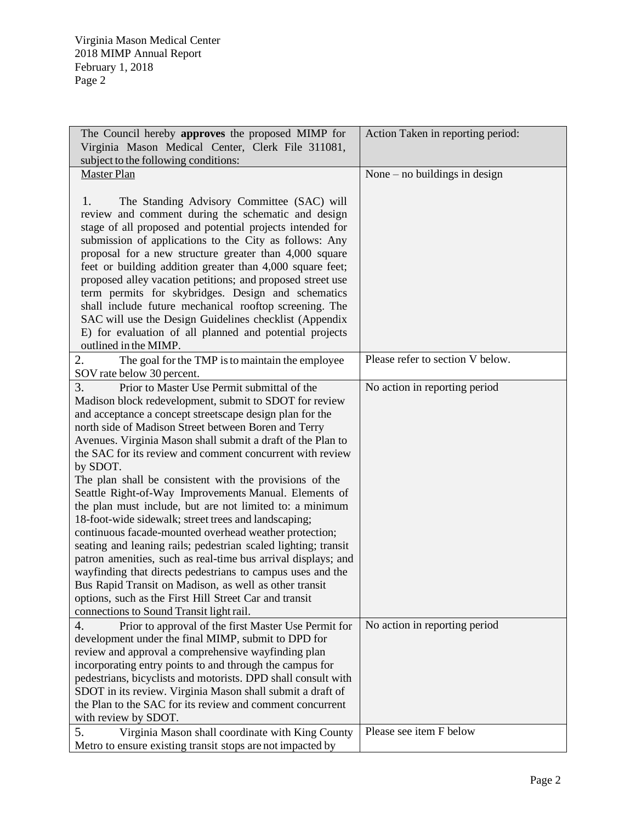| The Council hereby approves the proposed MIMP for<br>Virginia Mason Medical Center, Clerk File 311081,                                                                                                                                                                                                                                                                                                                                                                                                                                                                                                                                                                                                                                                                                                                                                                                                                                                                                                                                     | Action Taken in reporting period: |
|--------------------------------------------------------------------------------------------------------------------------------------------------------------------------------------------------------------------------------------------------------------------------------------------------------------------------------------------------------------------------------------------------------------------------------------------------------------------------------------------------------------------------------------------------------------------------------------------------------------------------------------------------------------------------------------------------------------------------------------------------------------------------------------------------------------------------------------------------------------------------------------------------------------------------------------------------------------------------------------------------------------------------------------------|-----------------------------------|
| subject to the following conditions:<br><b>Master Plan</b>                                                                                                                                                                                                                                                                                                                                                                                                                                                                                                                                                                                                                                                                                                                                                                                                                                                                                                                                                                                 |                                   |
|                                                                                                                                                                                                                                                                                                                                                                                                                                                                                                                                                                                                                                                                                                                                                                                                                                                                                                                                                                                                                                            | None $-$ no buildings in design   |
| The Standing Advisory Committee (SAC) will<br>1.<br>review and comment during the schematic and design<br>stage of all proposed and potential projects intended for<br>submission of applications to the City as follows: Any<br>proposal for a new structure greater than 4,000 square<br>feet or building addition greater than 4,000 square feet;<br>proposed alley vacation petitions; and proposed street use<br>term permits for skybridges. Design and schematics<br>shall include future mechanical rooftop screening. The<br>SAC will use the Design Guidelines checklist (Appendix<br>E) for evaluation of all planned and potential projects                                                                                                                                                                                                                                                                                                                                                                                    |                                   |
| outlined in the MIMP.<br>2.<br>The goal for the TMP is to maintain the employee<br>SOV rate below 30 percent.                                                                                                                                                                                                                                                                                                                                                                                                                                                                                                                                                                                                                                                                                                                                                                                                                                                                                                                              | Please refer to section V below.  |
| Prior to Master Use Permit submittal of the<br>3.<br>Madison block redevelopment, submit to SDOT for review<br>and acceptance a concept streetscape design plan for the<br>north side of Madison Street between Boren and Terry<br>Avenues. Virginia Mason shall submit a draft of the Plan to<br>the SAC for its review and comment concurrent with review<br>by SDOT.<br>The plan shall be consistent with the provisions of the<br>Seattle Right-of-Way Improvements Manual. Elements of<br>the plan must include, but are not limited to: a minimum<br>18-foot-wide sidewalk; street trees and landscaping;<br>continuous facade-mounted overhead weather protection;<br>seating and leaning rails; pedestrian scaled lighting; transit<br>patron amenities, such as real-time bus arrival displays; and<br>wayfinding that directs pedestrians to campus uses and the<br>Bus Rapid Transit on Madison, as well as other transit<br>options, such as the First Hill Street Car and transit<br>connections to Sound Transit light rail. | No action in reporting period     |
| Prior to approval of the first Master Use Permit for<br>4.<br>development under the final MIMP, submit to DPD for<br>review and approval a comprehensive wayfinding plan<br>incorporating entry points to and through the campus for<br>pedestrians, bicyclists and motorists. DPD shall consult with<br>SDOT in its review. Virginia Mason shall submit a draft of<br>the Plan to the SAC for its review and comment concurrent<br>with review by SDOT.                                                                                                                                                                                                                                                                                                                                                                                                                                                                                                                                                                                   | No action in reporting period     |
| 5.<br>Virginia Mason shall coordinate with King County<br>Metro to ensure existing transit stops are not impacted by                                                                                                                                                                                                                                                                                                                                                                                                                                                                                                                                                                                                                                                                                                                                                                                                                                                                                                                       | Please see item F below           |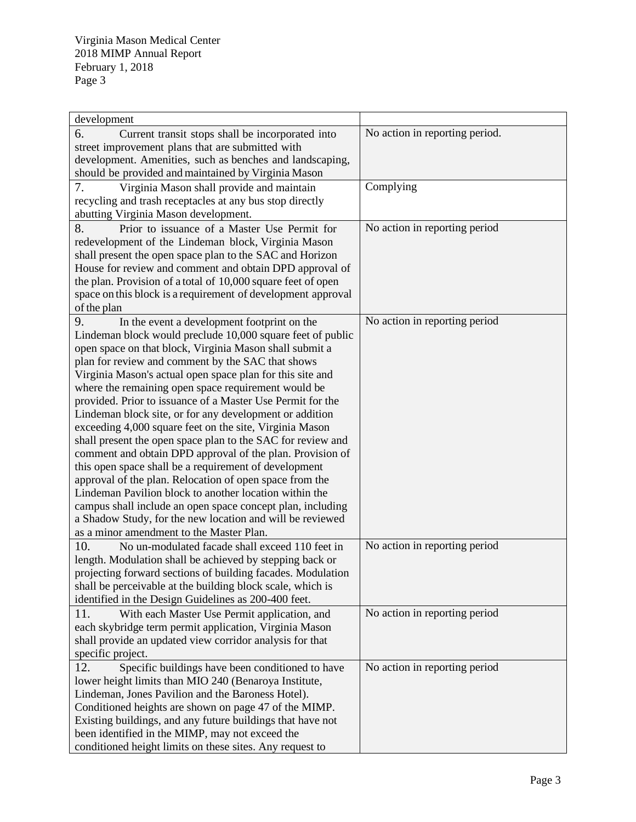| development                                                  |                                |
|--------------------------------------------------------------|--------------------------------|
| 6.<br>Current transit stops shall be incorporated into       | No action in reporting period. |
| street improvement plans that are submitted with             |                                |
| development. Amenities, such as benches and landscaping,     |                                |
| should be provided and maintained by Virginia Mason          |                                |
| 7.<br>Virginia Mason shall provide and maintain              | Complying                      |
| recycling and trash receptacles at any bus stop directly     |                                |
| abutting Virginia Mason development.                         |                                |
| 8.<br>Prior to issuance of a Master Use Permit for           | No action in reporting period  |
| redevelopment of the Lindeman block, Virginia Mason          |                                |
| shall present the open space plan to the SAC and Horizon     |                                |
| House for review and comment and obtain DPD approval of      |                                |
| the plan. Provision of a total of 10,000 square feet of open |                                |
| space on this block is a requirement of development approval |                                |
| of the plan                                                  |                                |
| 9.<br>In the event a development footprint on the            | No action in reporting period  |
| Lindeman block would preclude 10,000 square feet of public   |                                |
| open space on that block, Virginia Mason shall submit a      |                                |
| plan for review and comment by the SAC that shows            |                                |
| Virginia Mason's actual open space plan for this site and    |                                |
| where the remaining open space requirement would be          |                                |
| provided. Prior to issuance of a Master Use Permit for the   |                                |
| Lindeman block site, or for any development or addition      |                                |
| exceeding 4,000 square feet on the site, Virginia Mason      |                                |
| shall present the open space plan to the SAC for review and  |                                |
| comment and obtain DPD approval of the plan. Provision of    |                                |
| this open space shall be a requirement of development        |                                |
| approval of the plan. Relocation of open space from the      |                                |
| Lindeman Pavilion block to another location within the       |                                |
| campus shall include an open space concept plan, including   |                                |
| a Shadow Study, for the new location and will be reviewed    |                                |
| as a minor amendment to the Master Plan.                     |                                |
| 10.<br>No un-modulated facade shall exceed 110 feet in       | No action in reporting period  |
| length. Modulation shall be achieved by stepping back or     |                                |
| projecting forward sections of building facades. Modulation  |                                |
| shall be perceivable at the building block scale, which is   |                                |
| identified in the Design Guidelines as 200-400 feet.         |                                |
| 11.<br>With each Master Use Permit application, and          | No action in reporting period  |
| each skybridge term permit application, Virginia Mason       |                                |
| shall provide an updated view corridor analysis for that     |                                |
| specific project.                                            |                                |
| 12.<br>Specific buildings have been conditioned to have      | No action in reporting period  |
| lower height limits than MIO 240 (Benaroya Institute,        |                                |
| Lindeman, Jones Pavilion and the Baroness Hotel).            |                                |
| Conditioned heights are shown on page 47 of the MIMP.        |                                |
| Existing buildings, and any future buildings that have not   |                                |
| been identified in the MIMP, may not exceed the              |                                |
| conditioned height limits on these sites. Any request to     |                                |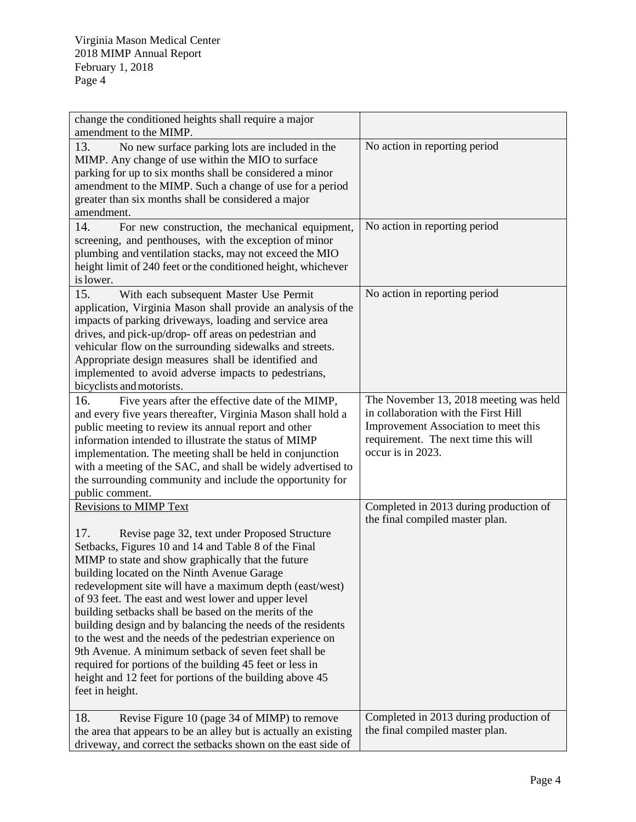| change the conditioned heights shall require a major                                                                     |
|--------------------------------------------------------------------------------------------------------------------------|
| amendment to the MIMP.                                                                                                   |
| No action in reporting period<br>13.<br>No new surface parking lots are included in the                                  |
| MIMP. Any change of use within the MIO to surface                                                                        |
| parking for up to six months shall be considered a minor                                                                 |
| amendment to the MIMP. Such a change of use for a period                                                                 |
| greater than six months shall be considered a major                                                                      |
| amendment.                                                                                                               |
| No action in reporting period<br>14.<br>For new construction, the mechanical equipment,                                  |
| screening, and penthouses, with the exception of minor                                                                   |
| plumbing and ventilation stacks, may not exceed the MIO                                                                  |
| height limit of 240 feet or the conditioned height, whichever                                                            |
| is lower.                                                                                                                |
| 15.<br>No action in reporting period<br>With each subsequent Master Use Permit                                           |
| application, Virginia Mason shall provide an analysis of the                                                             |
| impacts of parking driveways, loading and service area                                                                   |
| drives, and pick-up/drop- off areas on pedestrian and                                                                    |
| vehicular flow on the surrounding sidewalks and streets.                                                                 |
| Appropriate design measures shall be identified and                                                                      |
| implemented to avoid adverse impacts to pedestrians,                                                                     |
| bicyclists and motorists.                                                                                                |
| The November 13, 2018 meeting was held<br>16.<br>Five years after the effective date of the MIMP,                        |
| in collaboration with the First Hill<br>and every five years thereafter, Virginia Mason shall hold a                     |
| Improvement Association to meet this<br>public meeting to review its annual report and other                             |
| requirement. The next time this will<br>information intended to illustrate the status of MIMP                            |
| occur is in 2023.<br>implementation. The meeting shall be held in conjunction                                            |
| with a meeting of the SAC, and shall be widely advertised to                                                             |
| the surrounding community and include the opportunity for                                                                |
| public comment.                                                                                                          |
| <b>Revisions to MIMP Text</b><br>Completed in 2013 during production of                                                  |
| the final compiled master plan.                                                                                          |
| 17.<br>Revise page 32, text under Proposed Structure                                                                     |
| Setbacks, Figures 10 and 14 and Table 8 of the Final                                                                     |
| MIMP to state and show graphically that the future                                                                       |
| building located on the Ninth Avenue Garage                                                                              |
| redevelopment site will have a maximum depth (east/west)                                                                 |
| of 93 feet. The east and west lower and upper level                                                                      |
| building setbacks shall be based on the merits of the                                                                    |
|                                                                                                                          |
| building design and by balancing the needs of the residents<br>to the west and the needs of the pedestrian experience on |
| 9th Avenue. A minimum setback of seven feet shall be                                                                     |
|                                                                                                                          |
| required for portions of the building 45 feet or less in                                                                 |
| height and 12 feet for portions of the building above 45                                                                 |
| feet in height.                                                                                                          |
| Completed in 2013 during production of<br>18.                                                                            |
| Revise Figure 10 (page 34 of MIMP) to remove                                                                             |
| the final compiled master plan.<br>the area that appears to be an alley but is actually an existing                      |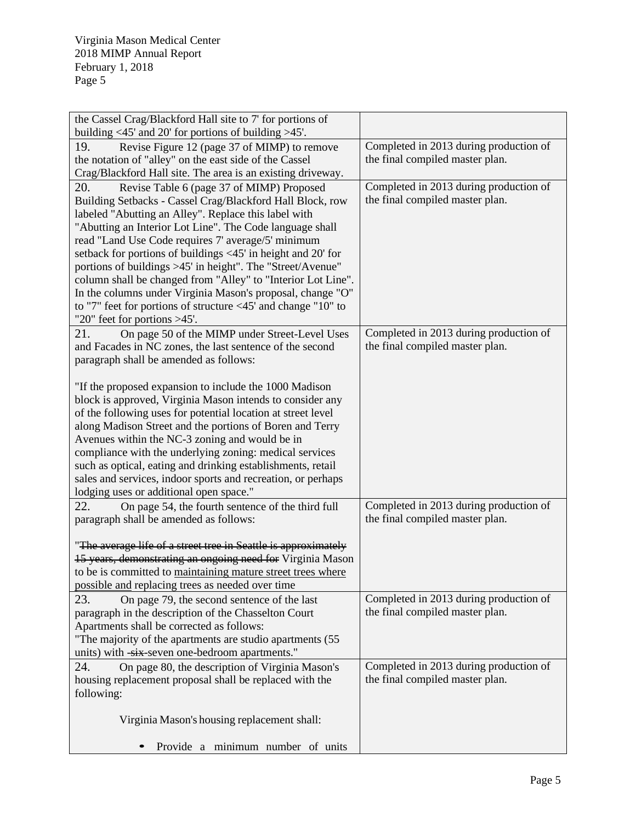| the Cassel Crag/Blackford Hall site to 7' for portions of                                                        |                                        |
|------------------------------------------------------------------------------------------------------------------|----------------------------------------|
| building $\langle 45' \rangle$ and 20' for portions of building $>45'$ .                                         |                                        |
| Revise Figure 12 (page 37 of MIMP) to remove<br>19.                                                              | Completed in 2013 during production of |
| the notation of "alley" on the east side of the Cassel                                                           | the final compiled master plan.        |
| Crag/Blackford Hall site. The area is an existing driveway.                                                      |                                        |
| Revise Table 6 (page 37 of MIMP) Proposed<br>20.                                                                 | Completed in 2013 during production of |
| Building Setbacks - Cassel Crag/Blackford Hall Block, row                                                        | the final compiled master plan.        |
| labeled "Abutting an Alley". Replace this label with                                                             |                                        |
| "Abutting an Interior Lot Line". The Code language shall                                                         |                                        |
| read "Land Use Code requires 7' average/5' minimum                                                               |                                        |
| setback for portions of buildings <45' in height and 20' for                                                     |                                        |
| portions of buildings >45' in height". The "Street/Avenue"                                                       |                                        |
| column shall be changed from "Alley" to "Interior Lot Line".                                                     |                                        |
| In the columns under Virginia Mason's proposal, change "O"                                                       |                                        |
| to "7" feet for portions of structure $\langle 45 \rangle$ and change "10" to<br>"20" feet for portions $>45$ ". |                                        |
| 21.<br>On page 50 of the MIMP under Street-Level Uses                                                            | Completed in 2013 during production of |
| and Facades in NC zones, the last sentence of the second                                                         | the final compiled master plan.        |
| paragraph shall be amended as follows:                                                                           |                                        |
|                                                                                                                  |                                        |
| "If the proposed expansion to include the 1000 Madison                                                           |                                        |
| block is approved, Virginia Mason intends to consider any                                                        |                                        |
| of the following uses for potential location at street level                                                     |                                        |
| along Madison Street and the portions of Boren and Terry                                                         |                                        |
| Avenues within the NC-3 zoning and would be in                                                                   |                                        |
| compliance with the underlying zoning: medical services                                                          |                                        |
| such as optical, eating and drinking establishments, retail                                                      |                                        |
| sales and services, indoor sports and recreation, or perhaps                                                     |                                        |
| lodging uses or additional open space."                                                                          |                                        |
| 22.<br>On page 54, the fourth sentence of the third full                                                         | Completed in 2013 during production of |
| paragraph shall be amended as follows:                                                                           | the final compiled master plan.        |
| "The average life of a street tree in Seattle is approximately                                                   |                                        |
| 15 years, demonstrating an ongoing need for Virginia Mason                                                       |                                        |
| to be is committed to maintaining mature street trees where                                                      |                                        |
| possible and replacing trees as needed over time                                                                 |                                        |
| 23.<br>On page 79, the second sentence of the last                                                               | Completed in 2013 during production of |
| paragraph in the description of the Chasselton Court                                                             | the final compiled master plan.        |
| Apartments shall be corrected as follows:                                                                        |                                        |
| "The majority of the apartments are studio apartments (55)                                                       |                                        |
| units) with -six-seven one-bedroom apartments."                                                                  |                                        |
| 24.<br>On page 80, the description of Virginia Mason's                                                           | Completed in 2013 during production of |
| housing replacement proposal shall be replaced with the                                                          | the final compiled master plan.        |
| following:                                                                                                       |                                        |
|                                                                                                                  |                                        |
| Virginia Mason's housing replacement shall:                                                                      |                                        |
|                                                                                                                  |                                        |
| Provide a minimum number of units                                                                                |                                        |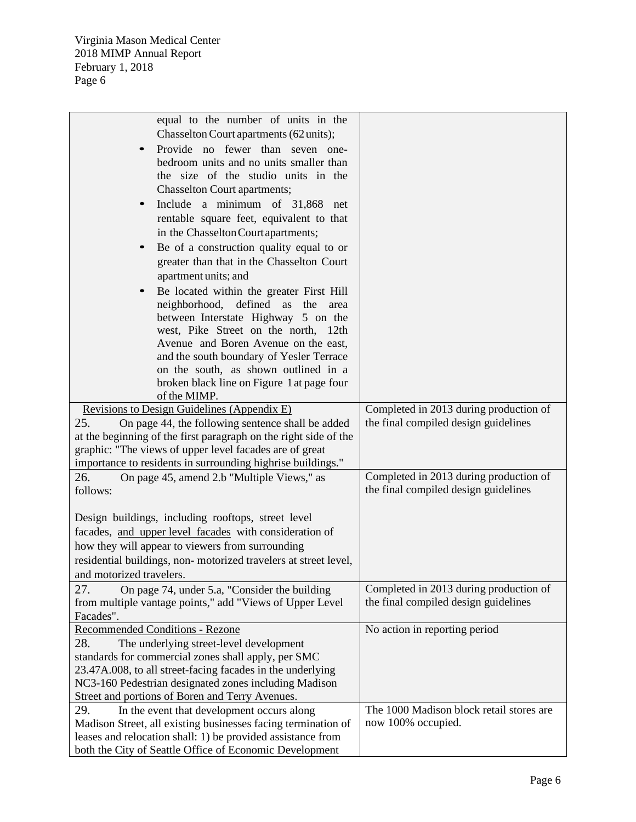| equal to the number of units in the<br>Chasselton Court apartments (62 units);                                                                                                                                                                         |                                                                                |
|--------------------------------------------------------------------------------------------------------------------------------------------------------------------------------------------------------------------------------------------------------|--------------------------------------------------------------------------------|
| Provide no fewer than seven one-<br>bedroom units and no units smaller than<br>the size of the studio units in the                                                                                                                                     |                                                                                |
| <b>Chasselton Court apartments;</b>                                                                                                                                                                                                                    |                                                                                |
| Include a minimum of 31,868 net<br>rentable square feet, equivalent to that                                                                                                                                                                            |                                                                                |
| in the Chasselton Court apartments;                                                                                                                                                                                                                    |                                                                                |
| Be of a construction quality equal to or<br>greater than that in the Chasselton Court<br>apartment units; and                                                                                                                                          |                                                                                |
| Be located within the greater First Hill<br>neighborhood, defined as the<br>area<br>between Interstate Highway 5 on the<br>west, Pike Street on the north, 12th                                                                                        |                                                                                |
| Avenue and Boren Avenue on the east,<br>and the south boundary of Yesler Terrace<br>on the south, as shown outlined in a                                                                                                                               |                                                                                |
| broken black line on Figure 1 at page four<br>of the MIMP.                                                                                                                                                                                             |                                                                                |
| Revisions to Design Guidelines (Appendix E)                                                                                                                                                                                                            | Completed in 2013 during production of                                         |
| 25.<br>On page 44, the following sentence shall be added<br>at the beginning of the first paragraph on the right side of the<br>graphic: "The views of upper level facades are of great<br>importance to residents in surrounding highrise buildings." | the final compiled design guidelines                                           |
| On page 45, amend 2.b "Multiple Views," as<br>26.<br>follows:                                                                                                                                                                                          | Completed in 2013 during production of<br>the final compiled design guidelines |
| Design buildings, including rooftops, street level                                                                                                                                                                                                     |                                                                                |
| facades, and upper level facades with consideration of                                                                                                                                                                                                 |                                                                                |
| how they will appear to viewers from surrounding                                                                                                                                                                                                       |                                                                                |
| residential buildings, non-motorized travelers at street level,<br>and motorized travelers.                                                                                                                                                            |                                                                                |
| 27.<br>On page 74, under 5.a, "Consider the building                                                                                                                                                                                                   | Completed in 2013 during production of                                         |
| from multiple vantage points," add "Views of Upper Level                                                                                                                                                                                               | the final compiled design guidelines                                           |
| Facades".<br>Recommended Conditions - Rezone                                                                                                                                                                                                           | No action in reporting period                                                  |
| 28.<br>The underlying street-level development                                                                                                                                                                                                         |                                                                                |
| standards for commercial zones shall apply, per SMC                                                                                                                                                                                                    |                                                                                |
| 23.47A.008, to all street-facing facades in the underlying                                                                                                                                                                                             |                                                                                |
| NC3-160 Pedestrian designated zones including Madison<br>Street and portions of Boren and Terry Avenues.                                                                                                                                               |                                                                                |
| 29.<br>In the event that development occurs along                                                                                                                                                                                                      | The 1000 Madison block retail stores are                                       |
| Madison Street, all existing businesses facing termination of                                                                                                                                                                                          | now 100% occupied.                                                             |
| leases and relocation shall: 1) be provided assistance from                                                                                                                                                                                            |                                                                                |
| both the City of Seattle Office of Economic Development                                                                                                                                                                                                |                                                                                |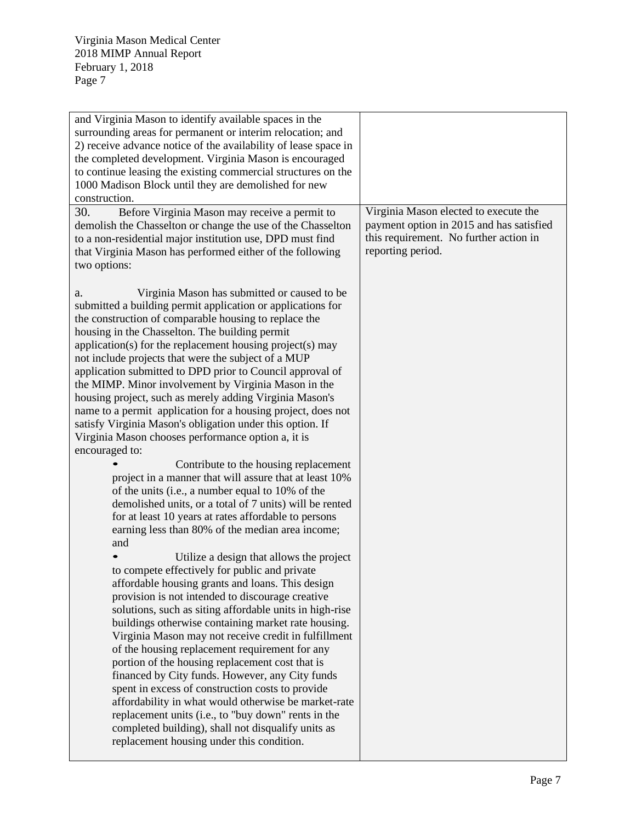| and Virginia Mason to identify available spaces in the<br>surrounding areas for permanent or interim relocation; and<br>2) receive advance notice of the availability of lease space in<br>the completed development. Virginia Mason is encouraged<br>to continue leasing the existing commercial structures on the<br>1000 Madison Block until they are demolished for new<br>construction.                                                                                                                                                                                                                                                                                                                                                                                                                                                                                                                                                                                                                                                                                                                                                                                                                                                                                                                                                                                                                                                                                                                                                                                                                                                                                                                                                                                                                                                                                            |                                                                                                                                                  |
|-----------------------------------------------------------------------------------------------------------------------------------------------------------------------------------------------------------------------------------------------------------------------------------------------------------------------------------------------------------------------------------------------------------------------------------------------------------------------------------------------------------------------------------------------------------------------------------------------------------------------------------------------------------------------------------------------------------------------------------------------------------------------------------------------------------------------------------------------------------------------------------------------------------------------------------------------------------------------------------------------------------------------------------------------------------------------------------------------------------------------------------------------------------------------------------------------------------------------------------------------------------------------------------------------------------------------------------------------------------------------------------------------------------------------------------------------------------------------------------------------------------------------------------------------------------------------------------------------------------------------------------------------------------------------------------------------------------------------------------------------------------------------------------------------------------------------------------------------------------------------------------------|--------------------------------------------------------------------------------------------------------------------------------------------------|
| 30.<br>Before Virginia Mason may receive a permit to<br>demolish the Chasselton or change the use of the Chasselton<br>to a non-residential major institution use, DPD must find<br>that Virginia Mason has performed either of the following<br>two options:                                                                                                                                                                                                                                                                                                                                                                                                                                                                                                                                                                                                                                                                                                                                                                                                                                                                                                                                                                                                                                                                                                                                                                                                                                                                                                                                                                                                                                                                                                                                                                                                                           | Virginia Mason elected to execute the<br>payment option in 2015 and has satisfied<br>this requirement. No further action in<br>reporting period. |
| Virginia Mason has submitted or caused to be<br>a.<br>submitted a building permit application or applications for<br>the construction of comparable housing to replace the<br>housing in the Chasselton. The building permit<br>application(s) for the replacement housing project(s) may<br>not include projects that were the subject of a MUP<br>application submitted to DPD prior to Council approval of<br>the MIMP. Minor involvement by Virginia Mason in the<br>housing project, such as merely adding Virginia Mason's<br>name to a permit application for a housing project, does not<br>satisfy Virginia Mason's obligation under this option. If<br>Virginia Mason chooses performance option a, it is<br>encouraged to:<br>Contribute to the housing replacement<br>project in a manner that will assure that at least 10%<br>of the units (i.e., a number equal to 10% of the<br>demolished units, or a total of 7 units) will be rented<br>for at least 10 years at rates affordable to persons<br>earning less than 80% of the median area income;<br>and<br>Utilize a design that allows the project<br>to compete effectively for public and private<br>affordable housing grants and loans. This design<br>provision is not intended to discourage creative<br>solutions, such as siting affordable units in high-rise<br>buildings otherwise containing market rate housing.<br>Virginia Mason may not receive credit in fulfillment<br>of the housing replacement requirement for any<br>portion of the housing replacement cost that is<br>financed by City funds. However, any City funds<br>spent in excess of construction costs to provide<br>affordability in what would otherwise be market-rate<br>replacement units (i.e., to "buy down" rents in the<br>completed building), shall not disqualify units as<br>replacement housing under this condition. |                                                                                                                                                  |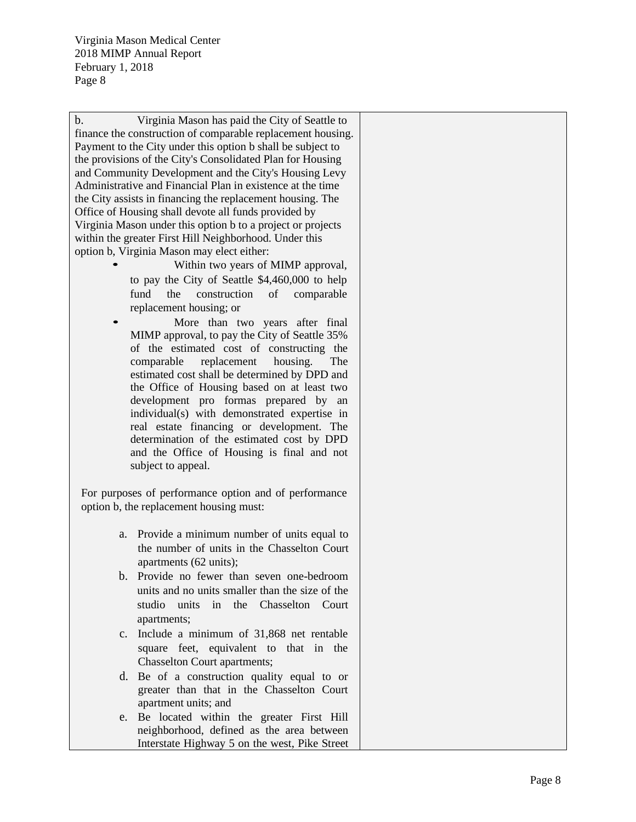b. Virginia Mason has paid the City of Seattle to finance the construction of comparable replacement housing. Payment to the City under this option b shall be subject to the provisions of the City's Consolidated Plan for Housing and Community Development and the City's Housing Levy Administrative and Financial Plan in existence at the time the City assists in financing the replacement housing. The Office of Housing shall devote all funds provided by Virginia Mason under this option b to a project or projects within the greater First Hill Neighborhood. Under this

- option b, Virginia Mason may elect either:<br>
Within two years of MIMP approval, to pay the City of Seattle \$4,460,000 to help fund the construction of comparable replacement housing; or
	- More than two years after final MIMP approval, to pay the City of Seattle 35% of the estimated cost of constructing the comparable replacement housing. The estimated cost shall be determined by DPD and the Office of Housing based on at least two development pro formas prepared by an individual(s) with demonstrated expertise in real estate financing or development. The determination of the estimated cost by DPD and the Office of Housing is final and not subject to appeal.

For purposes of performance option and of performance option b, the replacement housing must:

- a. Provide a minimum number of units equal to the number of units in the Chasselton Court apartments (62 units);
- b. Provide no fewer than seven one -bedroom units and no units smaller than the size of the studio units in the Chasselton Court apartments;
- c. Include a minimum of 31,868 net rentable square feet, equivalent to that in the Chasselton Court apartments;
- d. Be of a construction quality equal to or greater than that in the Chasselton Court apartment units; and
- e. Be located within the greater First Hill neighborhood, defined as the area between Interstate Highway 5 on the west, Pike Street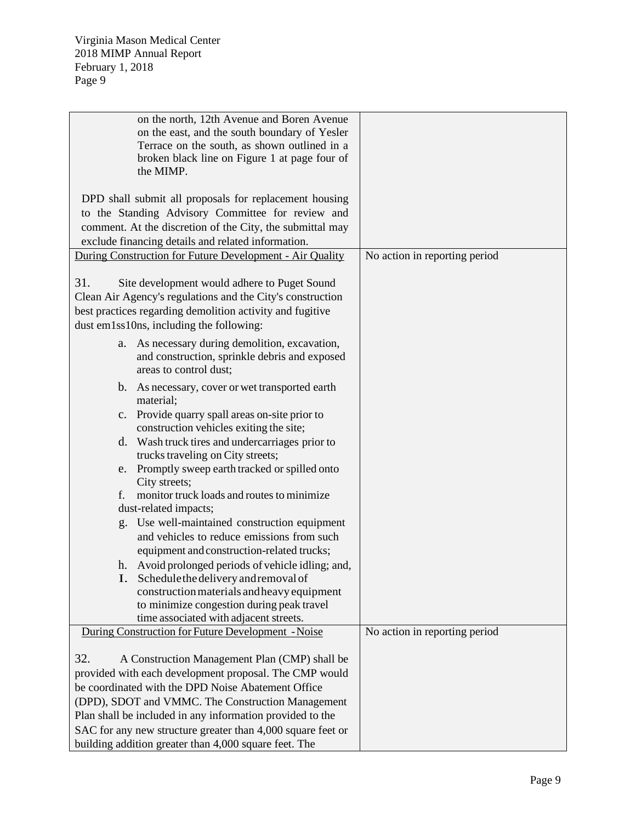| on the north, 12th Avenue and Boren Avenue                  |                               |
|-------------------------------------------------------------|-------------------------------|
| on the east, and the south boundary of Yesler               |                               |
| Terrace on the south, as shown outlined in a                |                               |
| broken black line on Figure 1 at page four of               |                               |
| the MIMP.                                                   |                               |
|                                                             |                               |
| DPD shall submit all proposals for replacement housing      |                               |
| to the Standing Advisory Committee for review and           |                               |
| comment. At the discretion of the City, the submittal may   |                               |
| exclude financing details and related information.          |                               |
| During Construction for Future Development - Air Quality    | No action in reporting period |
|                                                             |                               |
| 31.<br>Site development would adhere to Puget Sound         |                               |
| Clean Air Agency's regulations and the City's construction  |                               |
|                                                             |                               |
| best practices regarding demolition activity and fugitive   |                               |
| dust em1ss10ns, including the following:                    |                               |
| As necessary during demolition, excavation,<br>a.           |                               |
| and construction, sprinkle debris and exposed               |                               |
| areas to control dust;                                      |                               |
| b. As necessary, cover or wet transported earth             |                               |
| material;                                                   |                               |
| c. Provide quarry spall areas on-site prior to              |                               |
| construction vehicles exiting the site;                     |                               |
| d. Wash truck tires and undercarriages prior to             |                               |
| trucks traveling on City streets;                           |                               |
| e. Promptly sweep earth tracked or spilled onto             |                               |
| City streets;                                               |                               |
| monitor truck loads and routes to minimize<br>f.            |                               |
| dust-related impacts;                                       |                               |
| g. Use well-maintained construction equipment               |                               |
| and vehicles to reduce emissions from such                  |                               |
|                                                             |                               |
| equipment and construction-related trucks;                  |                               |
| Avoid prolonged periods of vehicle idling; and,<br>h.       |                               |
| Schedule the delivery and removal of                        |                               |
| construction materials and heavy equipment                  |                               |
| to minimize congestion during peak travel                   |                               |
| time associated with adjacent streets.                      |                               |
| During Construction for Future Development - Noise          | No action in reporting period |
|                                                             |                               |
| 32.<br>A Construction Management Plan (CMP) shall be        |                               |
| provided with each development proposal. The CMP would      |                               |
| be coordinated with the DPD Noise Abatement Office          |                               |
| (DPD), SDOT and VMMC. The Construction Management           |                               |
| Plan shall be included in any information provided to the   |                               |
| SAC for any new structure greater than 4,000 square feet or |                               |
| building addition greater than 4,000 square feet. The       |                               |
|                                                             |                               |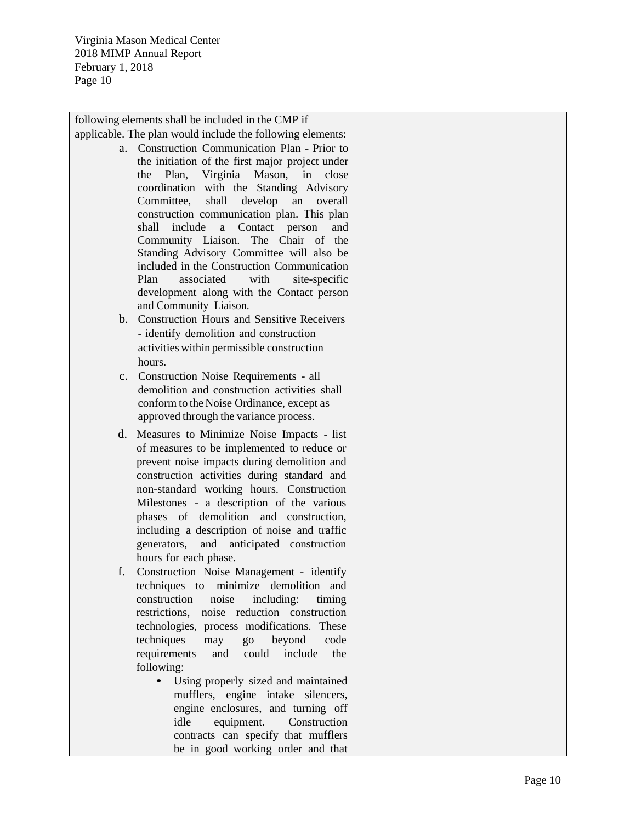following elements shall be included in the CMP if

- applicable. The plan would include the following elements: a. Construction Communication Plan - Prior to the initiation of the first major project under the Plan, Virginia Mason, in close coordination with the Standing Advisory Committee, shall develop an overall construction communication plan. This plan shall include a Contact person and Community Liaison. The Chair of the Standing Advisory Committee will also be included in the Constructio n Communication Plan associated with site-specific development along with the Contact person and Community Liaison.
	- b. Construction Hours and Sensitive Receivers - identify demolition and construction activities within permissible construction hours.
	- c. Construction Noise Requirements all demolition and construction activities shall conform to the Noise Ordinance, except as approved through the variance process.
	- d. Measures to Minimize Noise Impacts list of measures to be implemented to reduce or prevent noise impacts during demolition and construction activities during standard and non -standard working hours. Construction Milestones - a description of the various phases of demolition and construction, including a description of noise and traffic generators, and anticipated construction hours for each phase.
	- f. Construction Noise Management identify techniques to minimize demolition and construction noise including: timing restrictions, noise reduction construction technologies, process modifications. These techniques may go beyond code requirements and could include the following: • Using properly sized and maintained
		- mufflers, engine intake silencers, engine enclosures, and turning off idle equipment. Construction contracts can specify that mufflers be in good working order and that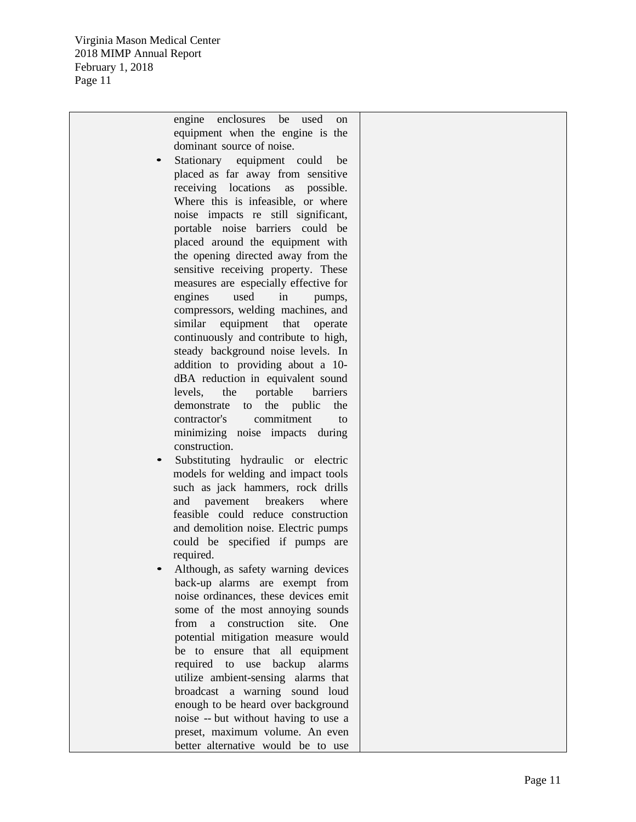engine enclosures be used on equipment when the engine is the dominant source of noise.

- Stationary equipment could be placed as far away from sensitive receiving locations as possible. Where this is infeasible, or where noise impacts re still significant, portable noise barriers could be placed around the equipment with the opening directed away from the sensitive receiving property. These measures are especially effective for engines used in pumps, compressors, welding machines, and similar equipment that operate continuously and contribute to high, steady background noise levels. In addition to providing about a 10 dBA reduction in equivalent sound levels, the portable barriers demonstrate to the public the contractor's commitment to minimizing noise impacts during construction.
- Substituting hydraulic or electric models for welding and impact tools such as jack hammers, rock drills and pavement breakers where feasible could reduce construction and demolition noise. Electric pumps could be specified if pumps are required.
- Although, as safety warning devices back -up alarms are exempt from noise ordinances, these devices emit some of the most annoying sounds from a construction site. One potential mitigation measure would be to ensure that al l equipment required to use backup alarms utilize ambient -sensing alarms that broadcast a warning sound loud enough to be heard over background noise - - but without having to use a preset, maximum volume. An even better alternative would be to use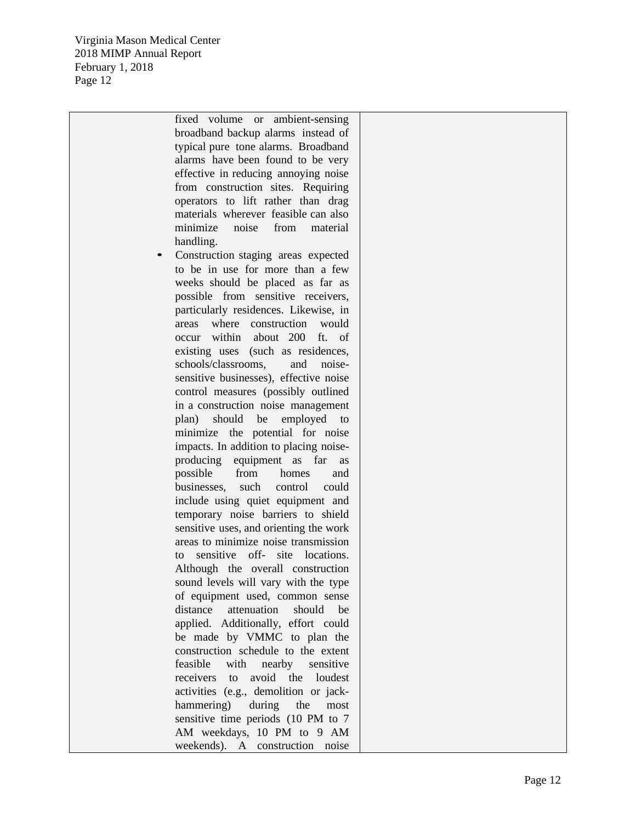> fixed volume or ambient -sensing broadband backup alarms instead of typical pure tone alarms. Broadband alarms have been found to be very effective in reducing annoying noise from construction sites. Requiring operators to lift rather than drag materials wherever feasible can also minimize noise from material handling.

Construction staging areas expected to be in use for more than a few weeks should be placed as far as possible from sensitive receivers, particularly residences. Likewise, in areas where construction would occur within about 200 ft. of existing uses (such as residences, schools/classrooms. and noisesensitive businesses), effective noise control measures (possibly outlined in a construction noise management plan) should be employed to minimize the potential for noise impacts. In addition to placing noise producing equipment as far as possible from homes and businesses, such control could include using quiet equipment and temporary noise barriers to shield sensitive uses, and orienting the work areas to minimize noise transmission to sensitive off- site locations. Although the overall construction sound levels will vary with the type of equipment used, common sense distance attenuation should be applied. Additionally, effort could be made by VMMC to plan the construction schedule to the extent feasible with nearby sensitive receivers to avoid the loudest activities (e.g., demolition or jack hammering) during the most sensitive time periods (10 PM to 7 AM weekdays, 10 PM to 9 AM weekends). A construction noise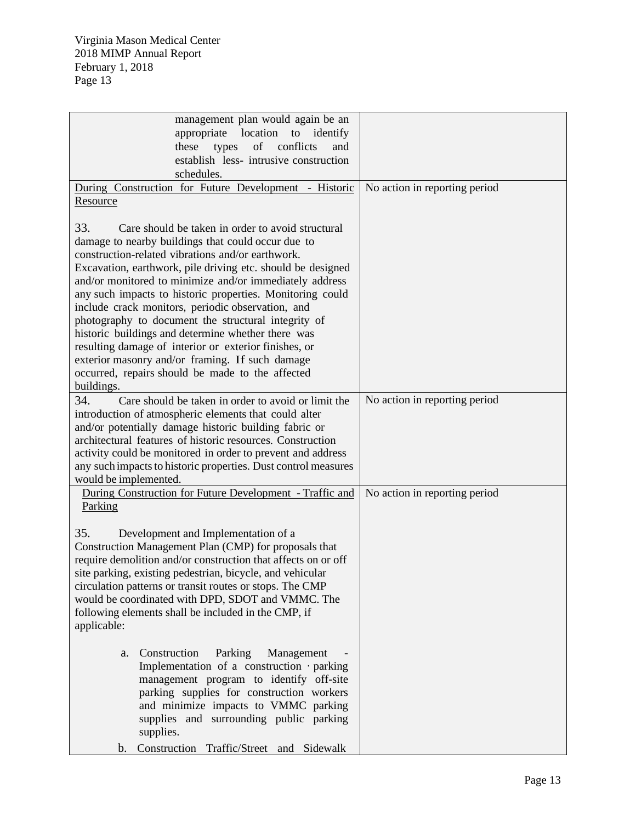| management plan would again be an                                                                                             |                               |
|-------------------------------------------------------------------------------------------------------------------------------|-------------------------------|
| appropriate location to identify                                                                                              |                               |
| of conflicts<br>these<br>types<br>and                                                                                         |                               |
| establish less- intrusive construction                                                                                        |                               |
| schedules.                                                                                                                    |                               |
| During Construction for Future Development - Historic                                                                         | No action in reporting period |
| Resource                                                                                                                      |                               |
|                                                                                                                               |                               |
| 33.<br>Care should be taken in order to avoid structural                                                                      |                               |
| damage to nearby buildings that could occur due to                                                                            |                               |
| construction-related vibrations and/or earthwork.                                                                             |                               |
| Excavation, earthwork, pile driving etc. should be designed                                                                   |                               |
| and/or monitored to minimize and/or immediately address                                                                       |                               |
| any such impacts to historic properties. Monitoring could                                                                     |                               |
| include crack monitors, periodic observation, and                                                                             |                               |
| photography to document the structural integrity of                                                                           |                               |
| historic buildings and determine whether there was                                                                            |                               |
| resulting damage of interior or exterior finishes, or                                                                         |                               |
| exterior masonry and/or framing. If such damage                                                                               |                               |
| occurred, repairs should be made to the affected                                                                              |                               |
| buildings.                                                                                                                    |                               |
| 34.<br>Care should be taken in order to avoid or limit the                                                                    | No action in reporting period |
| introduction of atmospheric elements that could alter                                                                         |                               |
| and/or potentially damage historic building fabric or                                                                         |                               |
| architectural features of historic resources. Construction                                                                    |                               |
| activity could be monitored in order to prevent and address<br>any such impacts to historic properties. Dust control measures |                               |
| would be implemented.                                                                                                         |                               |
| During Construction for Future Development - Traffic and                                                                      | No action in reporting period |
| Parking                                                                                                                       |                               |
|                                                                                                                               |                               |
| 35.<br>Development and Implementation of a                                                                                    |                               |
| Construction Management Plan (CMP) for proposals that                                                                         |                               |
| require demolition and/or construction that affects on or off                                                                 |                               |
| site parking, existing pedestrian, bicycle, and vehicular                                                                     |                               |
| circulation patterns or transit routes or stops. The CMP                                                                      |                               |
| would be coordinated with DPD, SDOT and VMMC. The                                                                             |                               |
| following elements shall be included in the CMP, if                                                                           |                               |
| applicable:                                                                                                                   |                               |
|                                                                                                                               |                               |
| Construction<br>Parking<br>Management<br>a.                                                                                   |                               |
| Implementation of a construction parking                                                                                      |                               |
| management program to identify off-site                                                                                       |                               |
| parking supplies for construction workers                                                                                     |                               |
| and minimize impacts to VMMC parking                                                                                          |                               |
| supplies and surrounding public parking                                                                                       |                               |
| supplies.                                                                                                                     |                               |
| Construction Traffic/Street and Sidewalk<br>b.                                                                                |                               |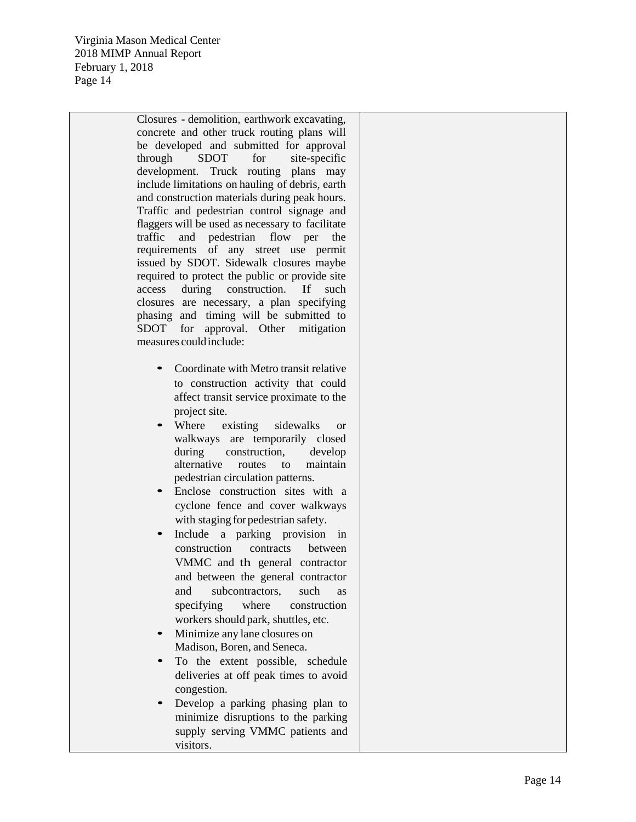Closures - demolition, earthwork excavating, concrete and other truck routing plans will be developed and submitted for approval through SDOT for site-specific development. Truck routing plans may include limitations on hauling of debris, earth and construction materials during peak hours. Traffic and pedestrian control signage and flaggers will be used as necessary to facilitate traffic and pedestrian flow per the requirements of any street use permit issued by SDOT. Sidewalk closures maybe required to protect the public or provide site access during construction. If such closures are necessary, a plan specifying phasing and timing will be submitted to SDOT for approval. Other mitigation measures couldinclude:

- Coordinate with Metro transit relative to construction activity that could affect transit service proximate to the project site.
- Where existing sidewalks or walkways are temporarily closed during construction, develop alternative routes to maintain pedestrian circulation patterns.
- Enclose construction sites with a cyclone fence and cover walkways with staging for pedestrian safety.
- Include a parking provision in construction contracts between VMMC and th general contractor and between the general contractor and subcontractors, such as specifying where construction workers should park, shuttles, etc.
- Minimize any lane closures on Madison, Boren, and Seneca.
- To the extent possible, schedule deliveries at off peak times to avoid congestion.
- Develop a parking phasing plan to minimize disruptions to the parking supply serving VMMC patients and visitors.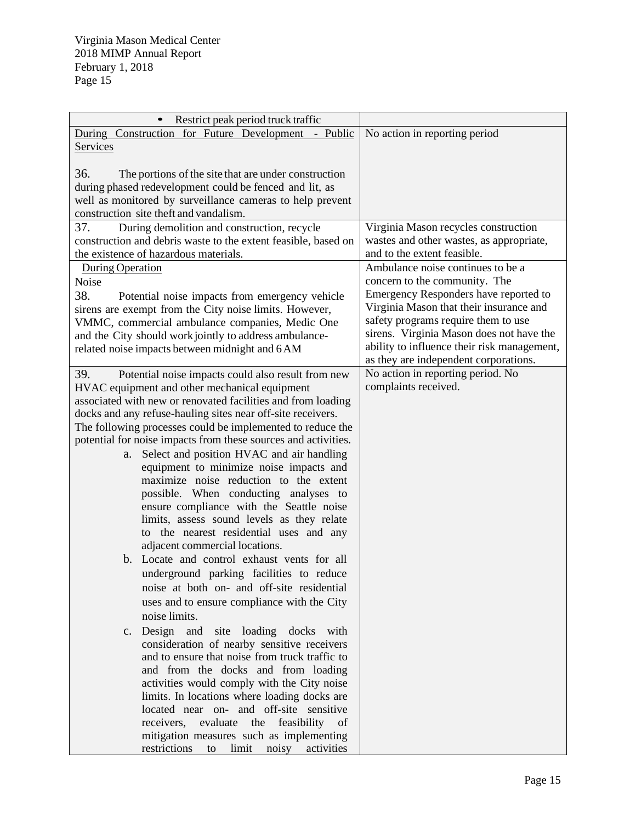| Restrict peak period truck traffic<br>$\bullet$                                                                                                                                                                                                                                                                                                                                                                                                                                                                                                                                                                                                                                                                                                                                                                                                                                                                                                                                                                                                                                                                                                                                                                                                                                                                                                                                                                |                                                                                                                                                                                                                                                                                                                                   |
|----------------------------------------------------------------------------------------------------------------------------------------------------------------------------------------------------------------------------------------------------------------------------------------------------------------------------------------------------------------------------------------------------------------------------------------------------------------------------------------------------------------------------------------------------------------------------------------------------------------------------------------------------------------------------------------------------------------------------------------------------------------------------------------------------------------------------------------------------------------------------------------------------------------------------------------------------------------------------------------------------------------------------------------------------------------------------------------------------------------------------------------------------------------------------------------------------------------------------------------------------------------------------------------------------------------------------------------------------------------------------------------------------------------|-----------------------------------------------------------------------------------------------------------------------------------------------------------------------------------------------------------------------------------------------------------------------------------------------------------------------------------|
| During Construction for Future Development - Public                                                                                                                                                                                                                                                                                                                                                                                                                                                                                                                                                                                                                                                                                                                                                                                                                                                                                                                                                                                                                                                                                                                                                                                                                                                                                                                                                            | No action in reporting period                                                                                                                                                                                                                                                                                                     |
| Services                                                                                                                                                                                                                                                                                                                                                                                                                                                                                                                                                                                                                                                                                                                                                                                                                                                                                                                                                                                                                                                                                                                                                                                                                                                                                                                                                                                                       |                                                                                                                                                                                                                                                                                                                                   |
| 36.<br>The portions of the site that are under construction<br>during phased redevelopment could be fenced and lit, as<br>well as monitored by surveillance cameras to help prevent<br>construction site theft and vandalism.                                                                                                                                                                                                                                                                                                                                                                                                                                                                                                                                                                                                                                                                                                                                                                                                                                                                                                                                                                                                                                                                                                                                                                                  |                                                                                                                                                                                                                                                                                                                                   |
| 37.<br>During demolition and construction, recycle<br>construction and debris waste to the extent feasible, based on<br>the existence of hazardous materials.                                                                                                                                                                                                                                                                                                                                                                                                                                                                                                                                                                                                                                                                                                                                                                                                                                                                                                                                                                                                                                                                                                                                                                                                                                                  | Virginia Mason recycles construction<br>wastes and other wastes, as appropriate,<br>and to the extent feasible.                                                                                                                                                                                                                   |
| <b>During Operation</b><br>Noise<br>38.<br>Potential noise impacts from emergency vehicle<br>sirens are exempt from the City noise limits. However,<br>VMMC, commercial ambulance companies, Medic One<br>and the City should work jointly to address ambulance-<br>related noise impacts between midnight and 6 AM                                                                                                                                                                                                                                                                                                                                                                                                                                                                                                                                                                                                                                                                                                                                                                                                                                                                                                                                                                                                                                                                                            | Ambulance noise continues to be a<br>concern to the community. The<br>Emergency Responders have reported to<br>Virginia Mason that their insurance and<br>safety programs require them to use<br>sirens. Virginia Mason does not have the<br>ability to influence their risk management,<br>as they are independent corporations. |
| 39.<br>Potential noise impacts could also result from new<br>HVAC equipment and other mechanical equipment<br>associated with new or renovated facilities and from loading<br>docks and any refuse-hauling sites near off-site receivers.<br>The following processes could be implemented to reduce the<br>potential for noise impacts from these sources and activities.<br>Select and position HVAC and air handling<br>a.<br>equipment to minimize noise impacts and<br>maximize noise reduction to the extent<br>possible. When conducting analyses to<br>ensure compliance with the Seattle noise<br>limits, assess sound levels as they relate<br>to the nearest residential uses and any<br>adjacent commercial locations.<br>b. Locate and control exhaust vents for all<br>underground parking facilities to reduce<br>noise at both on- and off-site residential<br>uses and to ensure compliance with the City<br>noise limits.<br>c. Design and site loading docks with<br>consideration of nearby sensitive receivers<br>and to ensure that noise from truck traffic to<br>and from the docks and from loading<br>activities would comply with the City noise<br>limits. In locations where loading docks are<br>located near on- and off-site sensitive<br>receivers,<br>evaluate the feasibility of<br>mitigation measures such as implementing<br>restrictions<br>limit noisy activities<br>to | No action in reporting period. No<br>complaints received.                                                                                                                                                                                                                                                                         |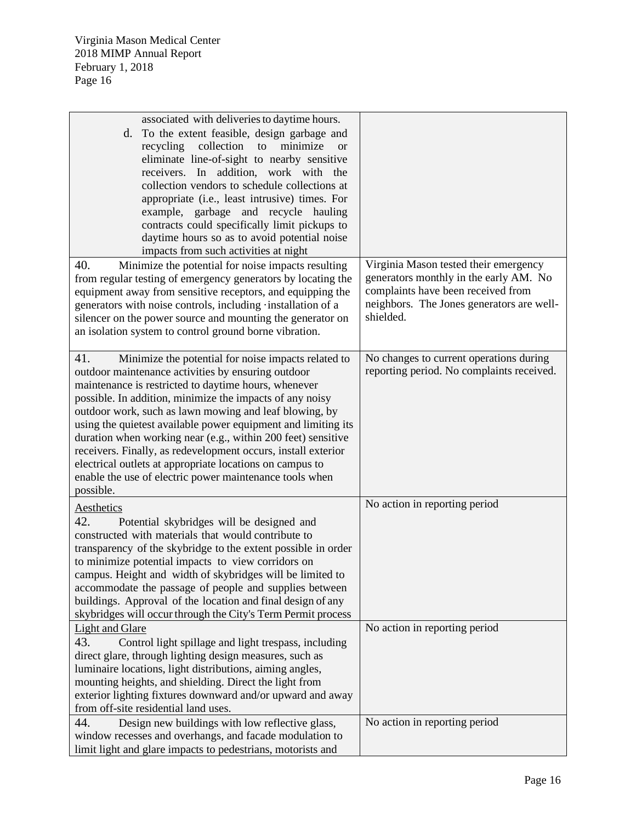| associated with deliveries to daytime hours.                  |                                           |
|---------------------------------------------------------------|-------------------------------------------|
| To the extent feasible, design garbage and<br>d.              |                                           |
| recycling collection to<br>minimize<br><b>or</b>              |                                           |
| eliminate line-of-sight to nearby sensitive                   |                                           |
| receivers. In addition, work with the                         |                                           |
| collection vendors to schedule collections at                 |                                           |
| appropriate (i.e., least intrusive) times. For                |                                           |
| example, garbage and recycle hauling                          |                                           |
| contracts could specifically limit pickups to                 |                                           |
|                                                               |                                           |
| daytime hours so as to avoid potential noise                  |                                           |
| impacts from such activities at night                         |                                           |
| 40.<br>Minimize the potential for noise impacts resulting     | Virginia Mason tested their emergency     |
| from regular testing of emergency generators by locating the  | generators monthly in the early AM. No    |
| equipment away from sensitive receptors, and equipping the    | complaints have been received from        |
| generators with noise controls, including installation of a   | neighbors. The Jones generators are well- |
| silencer on the power source and mounting the generator on    | shielded.                                 |
| an isolation system to control ground borne vibration.        |                                           |
|                                                               |                                           |
| 41.<br>Minimize the potential for noise impacts related to    | No changes to current operations during   |
| outdoor maintenance activities by ensuring outdoor            | reporting period. No complaints received. |
| maintenance is restricted to daytime hours, whenever          |                                           |
| possible. In addition, minimize the impacts of any noisy      |                                           |
|                                                               |                                           |
| outdoor work, such as lawn mowing and leaf blowing, by        |                                           |
| using the quietest available power equipment and limiting its |                                           |
| duration when working near (e.g., within 200 feet) sensitive  |                                           |
| receivers. Finally, as redevelopment occurs, install exterior |                                           |
| electrical outlets at appropriate locations on campus to      |                                           |
| enable the use of electric power maintenance tools when       |                                           |
| possible.                                                     |                                           |
| Aesthetics                                                    | No action in reporting period             |
| 42.<br>Potential skybridges will be designed and              |                                           |
| constructed with materials that would contribute to           |                                           |
| transparency of the skybridge to the extent possible in order |                                           |
|                                                               |                                           |
| to minimize potential impacts to view corridors on            |                                           |
| campus. Height and width of skybridges will be limited to     |                                           |
| accommodate the passage of people and supplies between        |                                           |
| buildings. Approval of the location and final design of any   |                                           |
| skybridges will occur through the City's Term Permit process  |                                           |
| Light and Glare                                               | No action in reporting period             |
| 43.<br>Control light spillage and light trespass, including   |                                           |
| direct glare, through lighting design measures, such as       |                                           |
| luminaire locations, light distributions, aiming angles,      |                                           |
| mounting heights, and shielding. Direct the light from        |                                           |
| exterior lighting fixtures downward and/or upward and away    |                                           |
| from off-site residential land uses.                          |                                           |
| 44.<br>Design new buildings with low reflective glass,        | No action in reporting period             |
| window recesses and overhangs, and facade modulation to       |                                           |
| limit light and glare impacts to pedestrians, motorists and   |                                           |
|                                                               |                                           |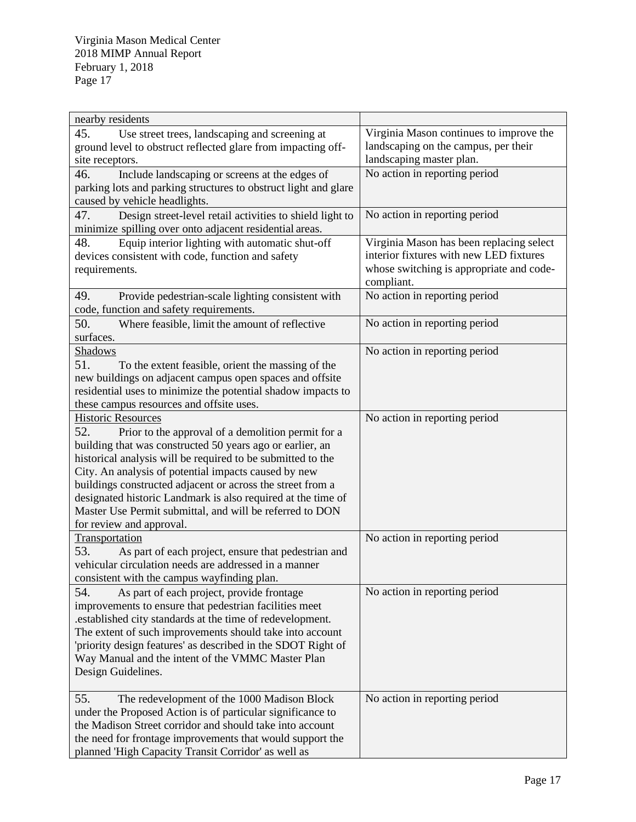| nearby residents                                                                                                                                          |                                                                                                             |
|-----------------------------------------------------------------------------------------------------------------------------------------------------------|-------------------------------------------------------------------------------------------------------------|
| 45.<br>Use street trees, landscaping and screening at<br>ground level to obstruct reflected glare from impacting off-<br>site receptors.                  | Virginia Mason continues to improve the<br>landscaping on the campus, per their<br>landscaping master plan. |
|                                                                                                                                                           | No action in reporting period                                                                               |
| 46.<br>Include landscaping or screens at the edges of<br>parking lots and parking structures to obstruct light and glare<br>caused by vehicle headlights. |                                                                                                             |
| 47.<br>Design street-level retail activities to shield light to<br>minimize spilling over onto adjacent residential areas.                                | No action in reporting period                                                                               |
|                                                                                                                                                           | Virginia Mason has been replacing select                                                                    |
| 48.<br>Equip interior lighting with automatic shut-off                                                                                                    | interior fixtures with new LED fixtures                                                                     |
| devices consistent with code, function and safety                                                                                                         |                                                                                                             |
| requirements.                                                                                                                                             | whose switching is appropriate and code-                                                                    |
|                                                                                                                                                           | compliant.                                                                                                  |
| 49.<br>Provide pedestrian-scale lighting consistent with                                                                                                  | No action in reporting period                                                                               |
| code, function and safety requirements.                                                                                                                   |                                                                                                             |
| 50.<br>Where feasible, limit the amount of reflective                                                                                                     | No action in reporting period                                                                               |
| surfaces.                                                                                                                                                 |                                                                                                             |
| Shadows                                                                                                                                                   | No action in reporting period                                                                               |
| 51.<br>To the extent feasible, orient the massing of the                                                                                                  |                                                                                                             |
| new buildings on adjacent campus open spaces and offsite                                                                                                  |                                                                                                             |
| residential uses to minimize the potential shadow impacts to                                                                                              |                                                                                                             |
| these campus resources and offsite uses.                                                                                                                  |                                                                                                             |
| <b>Historic Resources</b>                                                                                                                                 | No action in reporting period                                                                               |
| 52.<br>Prior to the approval of a demolition permit for a                                                                                                 |                                                                                                             |
| building that was constructed 50 years ago or earlier, an                                                                                                 |                                                                                                             |
| historical analysis will be required to be submitted to the                                                                                               |                                                                                                             |
| City. An analysis of potential impacts caused by new                                                                                                      |                                                                                                             |
| buildings constructed adjacent or across the street from a                                                                                                |                                                                                                             |
| designated historic Landmark is also required at the time of                                                                                              |                                                                                                             |
| Master Use Permit submittal, and will be referred to DON                                                                                                  |                                                                                                             |
| for review and approval.                                                                                                                                  |                                                                                                             |
| Transportation                                                                                                                                            | No action in reporting period                                                                               |
| 53.<br>As part of each project, ensure that pedestrian and                                                                                                |                                                                                                             |
| vehicular circulation needs are addressed in a manner                                                                                                     |                                                                                                             |
| consistent with the campus wayfinding plan.                                                                                                               |                                                                                                             |
| 54.                                                                                                                                                       | No action in reporting period                                                                               |
| As part of each project, provide frontage<br>improvements to ensure that pedestrian facilities meet                                                       |                                                                                                             |
|                                                                                                                                                           |                                                                                                             |
| .established city standards at the time of redevelopment.                                                                                                 |                                                                                                             |
| The extent of such improvements should take into account                                                                                                  |                                                                                                             |
| 'priority design features' as described in the SDOT Right of                                                                                              |                                                                                                             |
| Way Manual and the intent of the VMMC Master Plan                                                                                                         |                                                                                                             |
| Design Guidelines.                                                                                                                                        |                                                                                                             |
|                                                                                                                                                           |                                                                                                             |
| 55.<br>The redevelopment of the 1000 Madison Block                                                                                                        | No action in reporting period                                                                               |
| under the Proposed Action is of particular significance to                                                                                                |                                                                                                             |
| the Madison Street corridor and should take into account                                                                                                  |                                                                                                             |
| the need for frontage improvements that would support the                                                                                                 |                                                                                                             |
| planned 'High Capacity Transit Corridor' as well as                                                                                                       |                                                                                                             |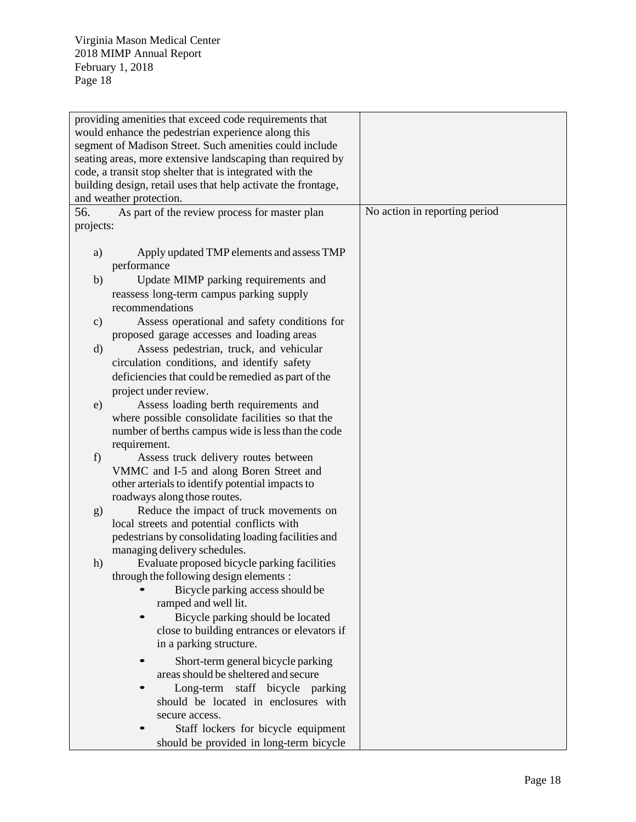|               | providing amenities that exceed code requirements that                  |                               |
|---------------|-------------------------------------------------------------------------|-------------------------------|
|               | would enhance the pedestrian experience along this                      |                               |
|               | segment of Madison Street. Such amenities could include                 |                               |
|               | seating areas, more extensive landscaping than required by              |                               |
|               | code, a transit stop shelter that is integrated with the                |                               |
|               | building design, retail uses that help activate the frontage,           |                               |
|               | and weather protection.                                                 |                               |
| 56.           | As part of the review process for master plan                           | No action in reporting period |
| projects:     |                                                                         |                               |
|               |                                                                         |                               |
| a)            | Apply updated TMP elements and assess TMP                               |                               |
|               | performance                                                             |                               |
| b)            | Update MIMP parking requirements and                                    |                               |
|               | reassess long-term campus parking supply                                |                               |
|               | recommendations                                                         |                               |
| $\mathbf{c})$ | Assess operational and safety conditions for                            |                               |
|               | proposed garage accesses and loading areas                              |                               |
| $\mathbf{d}$  | Assess pedestrian, truck, and vehicular                                 |                               |
|               | circulation conditions, and identify safety                             |                               |
|               | deficiencies that could be remedied as part of the                      |                               |
|               | project under review.                                                   |                               |
| e)            | Assess loading berth requirements and                                   |                               |
|               | where possible consolidate facilities so that the                       |                               |
|               | number of berths campus wide is less than the code                      |                               |
|               | requirement.                                                            |                               |
| f)            | Assess truck delivery routes between                                    |                               |
|               | VMMC and I-5 and along Boren Street and                                 |                               |
|               | other arterials to identify potential impacts to                        |                               |
|               | roadways along those routes.<br>Reduce the impact of truck movements on |                               |
| g)            | local streets and potential conflicts with                              |                               |
|               | pedestrians by consolidating loading facilities and                     |                               |
|               | managing delivery schedules.                                            |                               |
| h)            | Evaluate proposed bicycle parking facilities                            |                               |
|               | through the following design elements :                                 |                               |
|               | Bicycle parking access should be                                        |                               |
|               | ramped and well lit.                                                    |                               |
|               | Bicycle parking should be located                                       |                               |
|               | close to building entrances or elevators if                             |                               |
|               | in a parking structure.                                                 |                               |
|               | Short-term general bicycle parking                                      |                               |
|               | areas should be sheltered and secure                                    |                               |
|               | Long-term staff bicycle parking                                         |                               |
|               | should be located in enclosures with                                    |                               |
|               | secure access.                                                          |                               |
|               | Staff lockers for bicycle equipment                                     |                               |
|               | should be provided in long-term bicycle                                 |                               |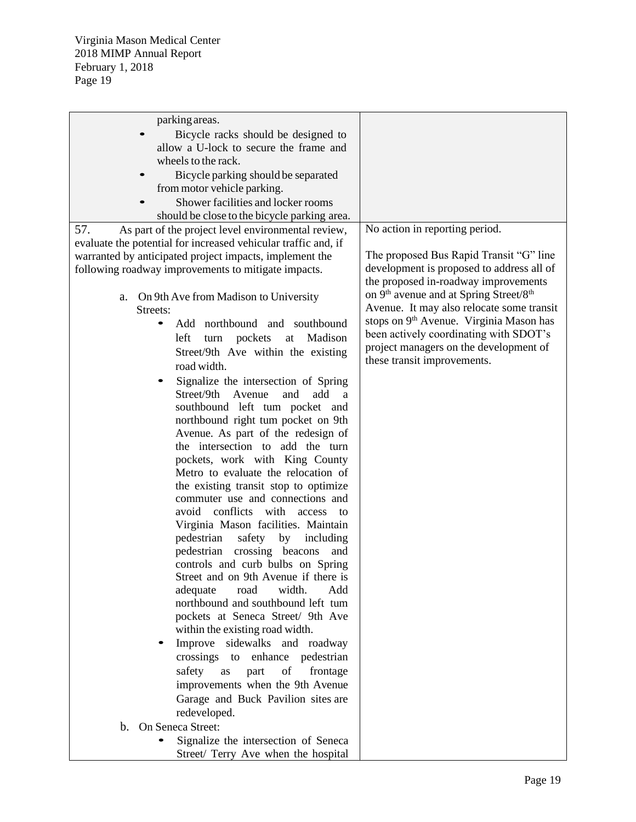| parking areas.                                                 |                                                                |
|----------------------------------------------------------------|----------------------------------------------------------------|
|                                                                |                                                                |
| Bicycle racks should be designed to                            |                                                                |
| allow a U-lock to secure the frame and                         |                                                                |
| wheels to the rack.                                            |                                                                |
| Bicycle parking should be separated                            |                                                                |
| from motor vehicle parking.                                    |                                                                |
| Shower facilities and locker rooms                             |                                                                |
| should be close to the bicycle parking area.                   |                                                                |
| 57.<br>As part of the project level environmental review,      | No action in reporting period.                                 |
| evaluate the potential for increased vehicular traffic and, if |                                                                |
|                                                                | The proposed Bus Rapid Transit "G" line                        |
| warranted by anticipated project impacts, implement the        | development is proposed to address all of                      |
| following roadway improvements to mitigate impacts.            |                                                                |
|                                                                | the proposed in-roadway improvements                           |
| On 9th Ave from Madison to University<br>a.                    | on 9 <sup>th</sup> avenue and at Spring Street/8 <sup>th</sup> |
| Streets:                                                       | Avenue. It may also relocate some transit                      |
| Add northbound and southbound                                  | stops on 9 <sup>th</sup> Avenue. Virginia Mason has            |
| left<br>Madison<br>turn pockets<br>at                          | been actively coordinating with SDOT's                         |
| Street/9th Ave within the existing                             | project managers on the development of                         |
| road width.                                                    | these transit improvements.                                    |
|                                                                |                                                                |
| Signalize the intersection of Spring                           |                                                                |
| Street/9th<br>Avenue<br>and<br>add<br>a                        |                                                                |
| southbound left tum pocket and                                 |                                                                |
| northbound right tum pocket on 9th                             |                                                                |
| Avenue. As part of the redesign of                             |                                                                |
| the intersection to add the turn                               |                                                                |
| pockets, work with King County                                 |                                                                |
| Metro to evaluate the relocation of                            |                                                                |
| the existing transit stop to optimize                          |                                                                |
| commuter use and connections and                               |                                                                |
| avoid conflicts with access<br>to                              |                                                                |
| Virginia Mason facilities. Maintain                            |                                                                |
| pedestrian<br>safety by<br>including                           |                                                                |
|                                                                |                                                                |
| pedestrian crossing beacons<br>and                             |                                                                |
| controls and curb bulbs on Spring                              |                                                                |
| Street and on 9th Avenue if there is                           |                                                                |
| width.<br>Add<br>adequate<br>road                              |                                                                |
| northbound and southbound left tum                             |                                                                |
| pockets at Seneca Street/ 9th Ave                              |                                                                |
| within the existing road width.                                |                                                                |
| Improve sidewalks and roadway                                  |                                                                |
| crossings to<br>enhance pedestrian                             |                                                                |
| safety<br>part<br>of<br>frontage<br>as                         |                                                                |
| improvements when the 9th Avenue                               |                                                                |
| Garage and Buck Pavilion sites are                             |                                                                |
|                                                                |                                                                |
| redeveloped.                                                   |                                                                |
| On Seneca Street:<br>$\mathbf{b}$ .                            |                                                                |
| Signalize the intersection of Seneca                           |                                                                |
| Street/ Terry Ave when the hospital                            |                                                                |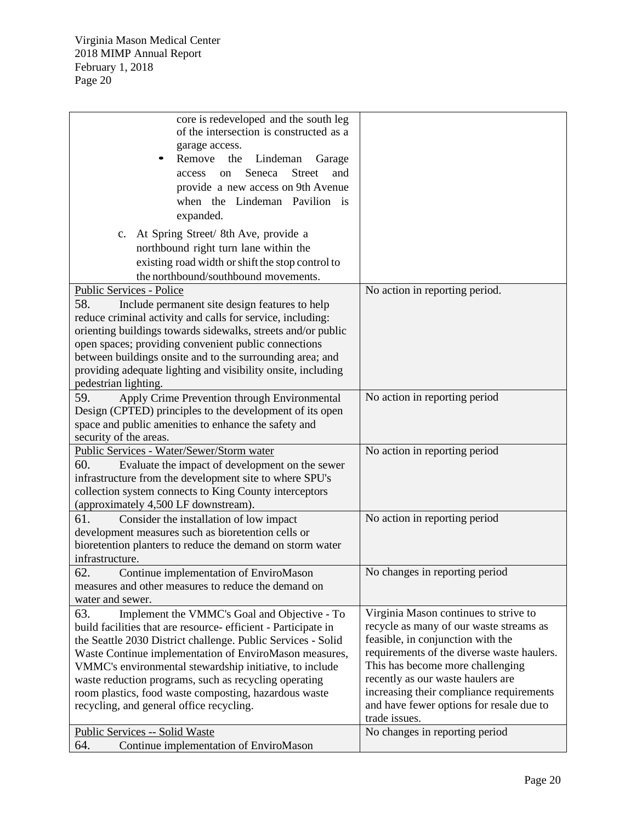| core is redeveloped and the south leg                         |                                            |
|---------------------------------------------------------------|--------------------------------------------|
| of the intersection is constructed as a                       |                                            |
| garage access.                                                |                                            |
| Remove<br>the<br>Lindeman<br>Garage                           |                                            |
| <b>Street</b><br>Seneca<br>and<br>access<br>on                |                                            |
|                                                               |                                            |
| provide a new access on 9th Avenue                            |                                            |
| when the Lindeman Pavilion is                                 |                                            |
| expanded.                                                     |                                            |
|                                                               |                                            |
| c. At Spring Street/ 8th Ave, provide a                       |                                            |
| northbound right turn lane within the                         |                                            |
| existing road width or shift the stop control to              |                                            |
|                                                               |                                            |
| the northbound/southbound movements.                          |                                            |
| Public Services - Police                                      | No action in reporting period.             |
| 58.<br>Include permanent site design features to help         |                                            |
| reduce criminal activity and calls for service, including:    |                                            |
| orienting buildings towards sidewalks, streets and/or public  |                                            |
| open spaces; providing convenient public connections          |                                            |
|                                                               |                                            |
| between buildings onsite and to the surrounding area; and     |                                            |
| providing adequate lighting and visibility onsite, including  |                                            |
| pedestrian lighting.                                          |                                            |
| 59.<br>Apply Crime Prevention through Environmental           | No action in reporting period              |
| Design (CPTED) principles to the development of its open      |                                            |
| space and public amenities to enhance the safety and          |                                            |
|                                                               |                                            |
| security of the areas.                                        |                                            |
| Public Services - Water/Sewer/Storm water                     | No action in reporting period              |
| 60.<br>Evaluate the impact of development on the sewer        |                                            |
| infrastructure from the development site to where SPU's       |                                            |
| collection system connects to King County interceptors        |                                            |
| (approximately 4,500 LF downstream).                          |                                            |
|                                                               |                                            |
| 61.<br>Consider the installation of low impact                | No action in reporting period              |
| development measures such as bioretention cells or            |                                            |
| bioretention planters to reduce the demand on storm water     |                                            |
| infrastructure.                                               |                                            |
| 62<br>Continue implementation of EnviroMason                  | No changes in reporting period             |
|                                                               |                                            |
| measures and other measures to reduce the demand on           |                                            |
| water and sewer.                                              |                                            |
| 63.<br>Implement the VMMC's Goal and Objective - To           | Virginia Mason continues to strive to      |
| build facilities that are resource-efficient - Participate in | recycle as many of our waste streams as    |
| the Seattle 2030 District challenge. Public Services - Solid  | feasible, in conjunction with the          |
| Waste Continue implementation of EnviroMason measures,        | requirements of the diverse waste haulers. |
|                                                               |                                            |
| VMMC's environmental stewardship initiative, to include       | This has become more challenging           |
| waste reduction programs, such as recycling operating         | recently as our waste haulers are          |
| room plastics, food waste composting, hazardous waste         | increasing their compliance requirements   |
| recycling, and general office recycling.                      | and have fewer options for resale due to   |
|                                                               | trade issues.                              |
| <b>Public Services -- Solid Waste</b>                         | No changes in reporting period             |
| 64.<br>Continue implementation of EnviroMason                 |                                            |
|                                                               |                                            |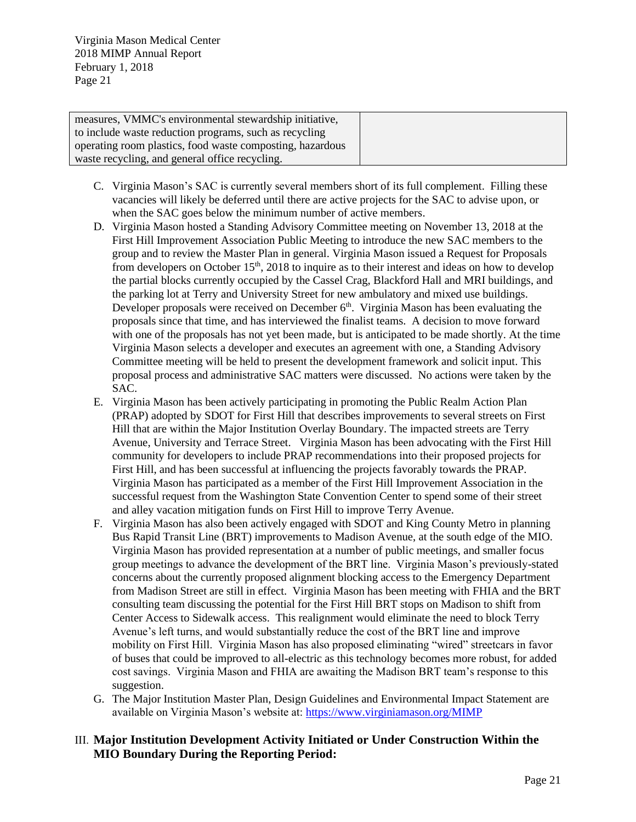| measures, VMMC's environmental stewardship initiative,    |  |
|-----------------------------------------------------------|--|
| to include waste reduction programs, such as recycling    |  |
| operating room plastics, food waste composting, hazardous |  |
| waste recycling, and general office recycling.            |  |

- C. Virginia Mason's SAC is currently several members short of its full complement. Filling these vacancies will likely be deferred until there are active projects for the SAC to advise upon, or when the SAC goes below the minimum number of active members.
- D. Virginia Mason hosted a Standing Advisory Committee meeting on November 13, 2018 at the First Hill Improvement Association Public Meeting to introduce the new SAC members to the group and to review the Master Plan in general. Virginia Mason issued a Request for Proposals from developers on October  $15<sup>th</sup>$ , 2018 to inquire as to their interest and ideas on how to develop the partial blocks currently occupied by the Cassel Crag, Blackford Hall and MRI buildings, and the parking lot at Terry and University Street for new ambulatory and mixed use buildings. Developer proposals were received on December  $6<sup>th</sup>$ . Virginia Mason has been evaluating the proposals since that time, and has interviewed the finalist teams. A decision to move forward with one of the proposals has not yet been made, but is anticipated to be made shortly. At the time Virginia Mason selects a developer and executes an agreement with one, a Standing Advisory Committee meeting will be held to present the development framework and solicit input. This proposal process and administrative SAC matters were discussed. No actions were taken by the SAC.
- E. Virginia Mason has been actively participating in promoting the Public Realm Action Plan (PRAP) adopted by SDOT for First Hill that describes improvements to several streets on First Hill that are within the Major Institution Overlay Boundary. The impacted streets are Terry Avenue, University and Terrace Street. Virginia Mason has been advocating with the First Hill community for developers to include PRAP recommendations into their proposed projects for First Hill, and has been successful at influencing the projects favorably towards the PRAP. Virginia Mason has participated as a member of the First Hill Improvement Association in the successful request from the Washington State Convention Center to spend some of their street and alley vacation mitigation funds on First Hill to improve Terry Avenue.
- F. Virginia Mason has also been actively engaged with SDOT and King County Metro in planning Bus Rapid Transit Line (BRT) improvements to Madison Avenue, at the south edge of the MIO. Virginia Mason has provided representation at a number of public meetings, and smaller focus group meetings to advance the development of the BRT line. Virginia Mason's previously-stated concerns about the currently proposed alignment blocking access to the Emergency Department from Madison Street are still in effect. Virginia Mason has been meeting with FHIA and the BRT consulting team discussing the potential for the First Hill BRT stops on Madison to shift from Center Access to Sidewalk access. This realignment would eliminate the need to block Terry Avenue's left turns, and would substantially reduce the cost of the BRT line and improve mobility on First Hill. Virginia Mason has also proposed eliminating "wired" streetcars in favor of buses that could be improved to all-electric as this technology becomes more robust, for added cost savings. Virginia Mason and FHIA are awaiting the Madison BRT team's response to this suggestion.
- G. The Major Institution Master Plan, Design Guidelines and Environmental Impact Statement are available on Virginia Mason's website at:<https://www.virginiamason.org/MIMP>

# III. **Major Institution Development Activity Initiated or Under Construction Within the MIO Boundary During the Reporting Period:**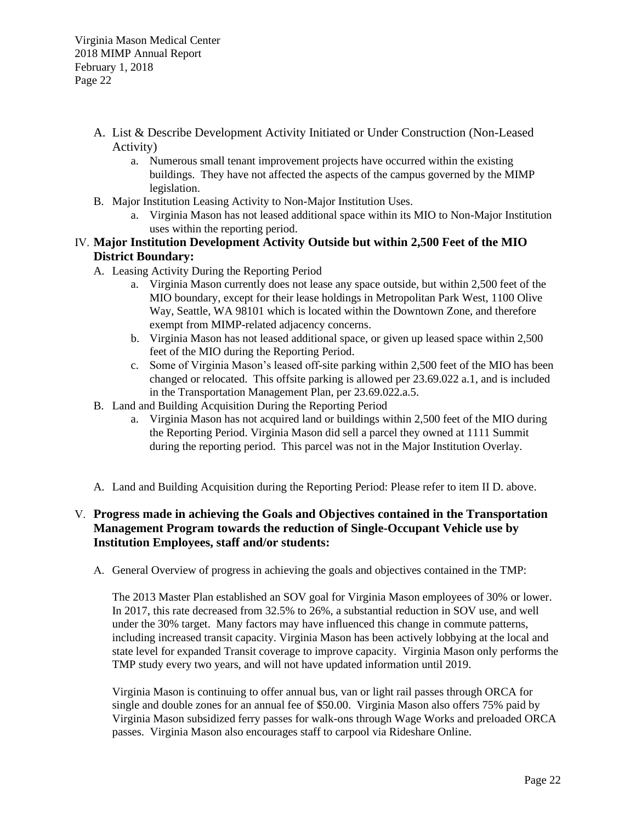- A. List & Describe Development Activity Initiated or Under Construction (Non-Leased Activity)
	- a. Numerous small tenant improvement projects have occurred within the existing buildings. They have not affected the aspects of the campus governed by the MIMP legislation.
- B. Major Institution Leasing Activity to Non-Major Institution Uses.
	- a. Virginia Mason has not leased additional space within its MIO to Non-Major Institution uses within the reporting period.

# IV. **Major Institution Development Activity Outside but within 2,500 Feet of the MIO District Boundary:**

- A. Leasing Activity During the Reporting Period
	- a. Virginia Mason currently does not lease any space outside, but within 2,500 feet of the MIO boundary, except for their lease holdings in Metropolitan Park West, 1100 Olive Way, Seattle, WA 98101 which is located within the Downtown Zone, and therefore exempt from MIMP-related adjacency concerns.
	- b. Virginia Mason has not leased additional space, or given up leased space within 2,500 feet of the MIO during the Reporting Period.
	- c. Some of Virginia Mason's leased off-site parking within 2,500 feet of the MIO has been changed or relocated. This offsite parking is allowed per 23.69.022 a.1, and is included in the Transportation Management Plan, per 23.69.022.a.5.
- B. Land and Building Acquisition During the Reporting Period
	- a. Virginia Mason has not acquired land or buildings within 2,500 feet of the MIO during the Reporting Period. Virginia Mason did sell a parcel they owned at 1111 Summit during the reporting period. This parcel was not in the Major Institution Overlay.
- A. Land and Building Acquisition during the Reporting Period: Please refer to item II D. above.

# V. **Progress made in achieving the Goals and Objectives contained in the Transportation Management Program towards the reduction of Single-Occupant Vehicle use by Institution Employees, staff and/or students:**

A. General Overview of progress in achieving the goals and objectives contained in the TMP:

The 2013 Master Plan established an SOV goal for Virginia Mason employees of 30% or lower. In 2017, this rate decreased from 32.5% to 26%, a substantial reduction in SOV use, and well under the 30% target. Many factors may have influenced this change in commute patterns, including increased transit capacity. Virginia Mason has been actively lobbying at the local and state level for expanded Transit coverage to improve capacity. Virginia Mason only performs the TMP study every two years, and will not have updated information until 2019.

Virginia Mason is continuing to offer annual bus, van or light rail passes through ORCA for single and double zones for an annual fee of \$50.00. Virginia Mason also offers 75% paid by Virginia Mason subsidized ferry passes for walk-ons through Wage Works and preloaded ORCA passes. Virginia Mason also encourages staff to carpool via Rideshare Online.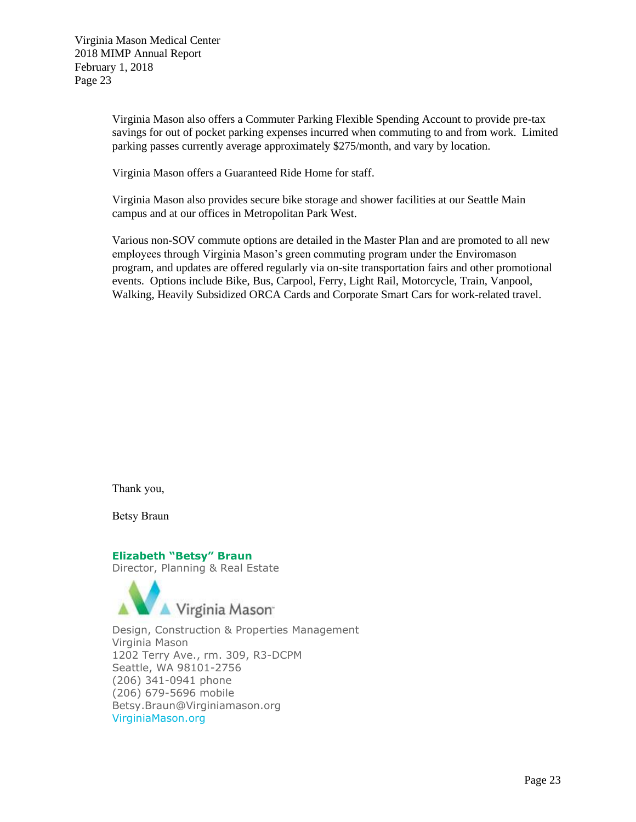Virginia Mason also offers a Commuter Parking Flexible Spending Account to provide pre-tax savings for out of pocket parking expenses incurred when commuting to and from work. Limited parking passes currently average approximately \$275/month, and vary by location.

Virginia Mason offers a Guaranteed Ride Home for staff.

Virginia Mason also provides secure bike storage and shower facilities at our Seattle Main campus and at our offices in Metropolitan Park West.

Various non-SOV commute options are detailed in the Master Plan and are promoted to all new employees through Virginia Mason's green commuting program under the Enviromason program, and updates are offered regularly via on-site transportation fairs and other promotional events. Options include Bike, Bus, Carpool, Ferry, Light Rail, Motorcycle, Train, Vanpool, Walking, Heavily Subsidized ORCA Cards and Corporate Smart Cars for work-related travel.

Thank you,

Betsy Braun

#### **Elizabeth "Betsy" Braun**

Director, Planning & Real Estate



Design, Construction & Properties Management Virginia Mason 1202 Terry Ave., rm. 309, R3-DCPM Seattle, WA 98101-2756 (206) 341-0941 phone (206) 679-5696 mobile Betsy.Braun@Virginiamason.org VirginiaMason.org